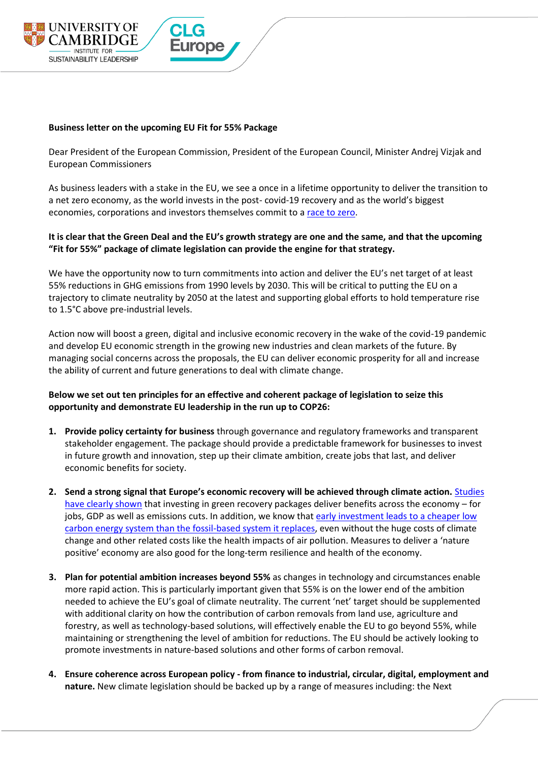

## **Business letter on the upcoming EU Fit for 55% Package**

Dear President of the European Commission, President of the European Council, Minister Andrej Vizjak and European Commissioners

As business leaders with a stake in the EU, we see a once in a lifetime opportunity to deliver the transition to a net zero economy, as the world invests in the post- covid-19 recovery and as the world's biggest economies, corporations and investors themselves commit to [a race to zero.](https://racetozero.unfccc.int/one-year-in/)

## **It is clear that the Green Deal and the EU's growth strategy are one and the same, and that the upcoming "Fit for 55%" package of climate legislation can provide the engine for that strategy.**

We have the opportunity now to turn commitments into action and deliver the EU's net target of at least 55% reductions in GHG emissions from 1990 levels by 2030. This will be critical to putting the EU on a trajectory to climate neutrality by 2050 at the latest and supporting global efforts to hold temperature rise to 1.5°C above pre-industrial levels.

Action now will boost a green, digital and inclusive economic recovery in the wake of the covid-19 pandemic and develop EU economic strength in the growing new industries and clean markets of the future. By managing social concerns across the proposals, the EU can deliver economic prosperity for all and increase the ability of current and future generations to deal with climate change.

## **Below we set out ten principles for an effective and coherent package of legislation to seize this opportunity and demonstrate EU leadership in the run up to COP26:**

- **1. Provide policy certainty for business** through governance and regulatory frameworks and transparent stakeholder engagement. The package should provide a predictable framework for businesses to invest in future growth and innovation, step up their climate ambition, create jobs that last, and deliver economic benefits for society.
- **2. Send a strong signal that Europe's economic recovery will be achieved through climate action.** [Studies](https://www.corporateleadersgroup.com/reports-evidence-and-insights/maximising-the-benefits)  [have clearly shown](https://www.corporateleadersgroup.com/reports-evidence-and-insights/maximising-the-benefits) that investing in green recovery packages deliver benefits across the economy – for jobs, GDP as well as emissions cuts. In addition, we know that early investment leads to a cheaper low [carbon energy system than the fossil-based system it replaces,](https://www.carbonbrief.org/guest-post-why-the-low-carbon-transition-may-be-much-cheaper-than-models-predict?utm_campaign=Carbon%20Brief%20Daily%20Briefing&utm_content=20210513&utm_medium=email&utm_source=Revue%20Daily) even without the huge costs of climate change and other related costs like the health impacts of air pollution. Measures to deliver a 'nature positive' economy are also good for the long-term resilience and health of the economy.
- **3. Plan for potential ambition increases beyond 55%** as changes in technology and circumstances enable more rapid action. This is particularly important given that 55% is on the lower end of the ambition needed to achieve the EU's goal of climate neutrality. The current 'net' target should be supplemented with additional clarity on how the contribution of carbon removals from land use, agriculture and forestry, as well as technology-based solutions, will effectively enable the EU to go beyond 55%, while maintaining or strengthening the level of ambition for reductions. The EU should be actively looking to promote investments in nature-based solutions and other forms of carbon removal.
- **4. Ensure coherence across European policy - from finance to industrial, circular, digital, employment and nature.** New climate legislation should be backed up by a range of measures including: the Next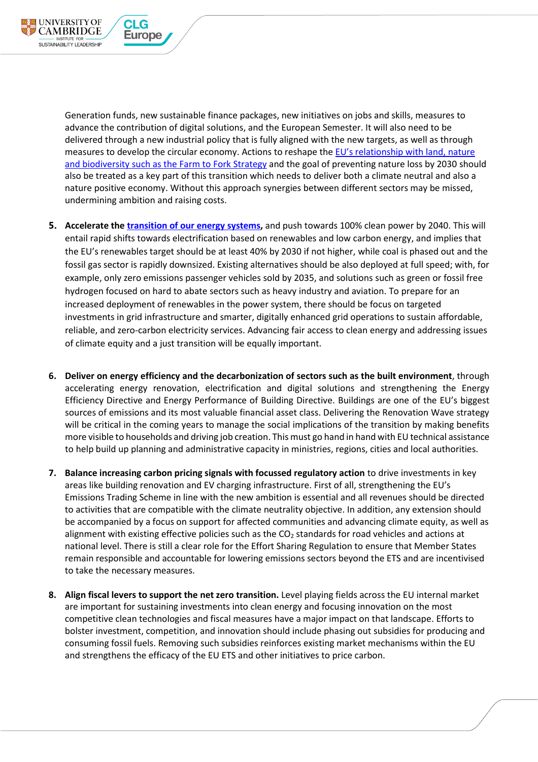Generation funds, new sustainable finance packages, new initiatives on jobs and skills, measures to advance the contribution of digital solutions, and the European Semester. It will also need to be delivered through a new industrial policy that is fully aligned with the new targets, as well as through measures to develop the circular economy. Actions to reshape the [EU's relationship with land](https://www.corporateleadersgroup.com/towards-sustainable-food-future-europe), nature and biodiversity [such as the Farm to Fork Strategy](https://www.corporateleadersgroup.com/towards-sustainable-food-future-europe) and the goal of preventing nature loss by 2030 should also be treated as a key part of this transition which needs to deliver both a climate neutral and also a nature positive economy. Without this approach synergies between different sectors may be missed, undermining ambition and raising costs.

**UNIVERSITY OF** 

**CAMBRIDGE** 

SUSTAINABILITY LEADERSHIP

CLG

**Europe** 

- **5. Accelerate th[e transition of our energy systems,](https://www.iea.org/reports/net-zero-by-2050)** and push towards 100% clean power by 2040. This will entail rapid shifts towards electrification based on renewables and low carbon energy, and implies that the EU's renewables target should be at least 40% by 2030 if not higher, while coal is phased out and the fossil gas sector is rapidly downsized. Existing alternatives should be also deployed at full speed; with, for example, only zero emissions passenger vehicles sold by 2035, and solutions such as green or fossil free hydrogen focused on hard to abate sectors such as heavy industry and aviation. To prepare for an increased deployment of renewables in the power system, there should be focus on targeted investments in grid infrastructure and smarter, digitally enhanced grid operations to sustain affordable, reliable, and zero-carbon electricity services. Advancing fair access to clean energy and addressing issues of climate equity and a just transition will be equally important.
- **6. Deliver on energy efficiency and the decarbonization of sectors such as the built environment**, through accelerating energy renovation, electrification and digital solutions and strengthening the Energy Efficiency Directive and Energy Performance of Building Directive. Buildings are one of the EU's biggest sources of emissions and its most valuable financial asset class. Delivering the Renovation Wave strategy will be critical in the coming years to manage the social implications of the transition by making benefits more visible to households and driving job creation. This must go hand in hand with EU technical assistance to help build up planning and administrative capacity in ministries, regions, cities and local authorities.
- **7. Balance increasing carbon pricing signals with focussed regulatory action** to drive investments in key areas like building renovation and EV charging infrastructure. First of all, strengthening the EU's Emissions Trading Scheme in line with the new ambition is essential and all revenues should be directed to activities that are compatible with the climate neutrality objective. In addition, any extension should be accompanied by a focus on support for affected communities and advancing climate equity, as well as alignment with existing effective policies such as the  $CO<sub>2</sub>$  standards for road vehicles and actions at national level. There is still a clear role for the Effort Sharing Regulation to ensure that Member States remain responsible and accountable for lowering emissions sectors beyond the ETS and are incentivised to take the necessary measures.
- **8. Align fiscal levers to support the net zero transition.** Level playing fields across the EU internal market are important for sustaining investments into clean energy and focusing innovation on the most competitive clean technologies and fiscal measures have a major impact on that landscape. Efforts to bolster investment, competition, and innovation should include phasing out subsidies for producing and consuming fossil fuels. Removing such subsidies reinforces existing market mechanisms within the EU and strengthens the efficacy of the EU ETS and other initiatives to price carbon.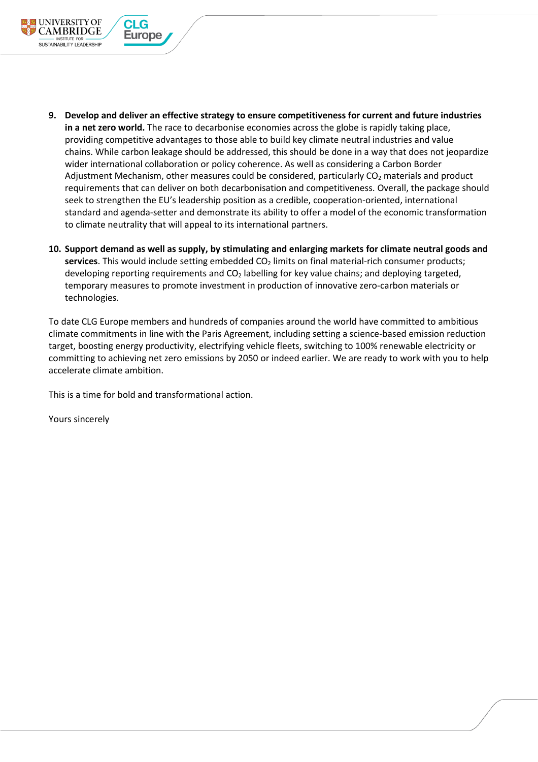- **9. Develop and deliver an effective strategy to ensure competitiveness for current and future industries in a net zero world.** The race to decarbonise economies across the globe is rapidly taking place, providing competitive advantages to those able to build key climate neutral industries and value chains. While carbon leakage should be addressed, this should be done in a way that does not jeopardize wider international collaboration or policy coherence. As well as considering a Carbon Border Adjustment Mechanism, other measures could be considered, particularly  $CO<sub>2</sub>$  materials and product requirements that can deliver on both decarbonisation and competitiveness. Overall, the package should seek to strengthen the EU's leadership position as a credible, cooperation-oriented, international standard and agenda-setter and demonstrate its ability to offer a model of the economic transformation to climate neutrality that will appeal to its international partners.
- **10. Support demand as well as supply, by stimulating and enlarging markets for climate neutral goods and**  services. This would include setting embedded CO<sub>2</sub> limits on final material-rich consumer products; developing reporting requirements and CO<sub>2</sub> labelling for key value chains; and deploying targeted, temporary measures to promote investment in production of innovative zero-carbon materials or technologies.

To date CLG Europe members and hundreds of companies around the world have committed to ambitious climate commitments in line with the Paris Agreement, including setting a science-based emission reduction target, boosting energy productivity, electrifying vehicle fleets, switching to 100% renewable electricity or committing to achieving net zero emissions by 2050 or indeed earlier. We are ready to work with you to help accelerate climate ambition.

This is a time for bold and transformational action.

Yours sincerely

**UNIVERSITY OF** 

**CAMBRIDGE** 

SUSTAINABILITY LEADERSHIP

CI G

**Europe**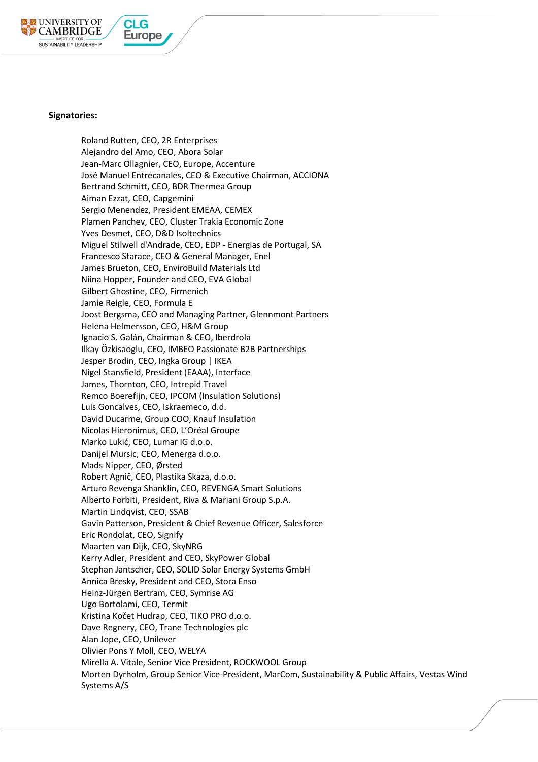

CI G

**Europe** 

## **Signatories:**

Roland Rutten, CEO, 2R Enterprises Alejandro del Amo, CEO, Abora Solar Jean-Marc Ollagnier, CEO, Europe, Accenture José Manuel Entrecanales, CEO & Executive Chairman, ACCIONA Bertrand Schmitt, CEO, BDR Thermea Group Aiman Ezzat, CEO, Capgemini Sergio Menendez, President EMEAA, CEMEX Plamen Panchev, CEO, Cluster Trakia Economic Zone Yves Desmet, CEO, D&D Isoltechnics Miguel Stilwell d'Andrade, CEO, EDP - Energias de Portugal, SA Francesco Starace, CEO & General Manager, Enel James Brueton, CEO, EnviroBuild Materials Ltd Niina Hopper, Founder and CEO, EVA Global Gilbert Ghostine, CEO, Firmenich Jamie Reigle, CEO, Formula E Joost Bergsma, CEO and Managing Partner, Glennmont Partners Helena Helmersson, CEO, H&M Group Ignacio S. Galán, Chairman & CEO, Iberdrola Ilkay Özkisaoglu, CEO, IMBEO Passionate B2B Partnerships Jesper Brodin, CEO, Ingka Group | IKEA Nigel Stansfield, President (EAAA), Interface James, Thornton, CEO, Intrepid Travel Remco Boerefijn, CEO, IPCOM (Insulation Solutions) Luis Goncalves, CEO, Iskraemeco, d.d. David Ducarme, Group COO, Knauf Insulation Nicolas Hieronimus, CEO, L'Oréal Groupe Marko Lukić, CEO, Lumar IG d.o.o. Danijel Mursic, CEO, Menerga d.o.o. Mads Nipper, CEO, Ørsted Robert Agnič, CEO, Plastika Skaza, d.o.o. Arturo Revenga Shanklin, CEO, REVENGA Smart Solutions Alberto Forbiti, President, Riva & Mariani Group S.p.A. Martin Lindqvist, CEO, SSAB Gavin Patterson, President & Chief Revenue Officer, Salesforce Eric Rondolat, CEO, Signify Maarten van Dijk, CEO, SkyNRG Kerry Adler, President and CEO, SkyPower Global Stephan Jantscher, CEO, SOLID Solar Energy Systems GmbH Annica Bresky, President and CEO, Stora Enso Heinz-Jürgen Bertram, CEO, Symrise AG Ugo Bortolami, CEO, Termit Kristina Kočet Hudrap, CEO, TIKO PRO d.o.o. Dave Regnery, CEO, Trane Technologies plc Alan Jope, CEO, Unilever Olivier Pons Y Moll, CEO, WELYA Mirella A. Vitale, Senior Vice President, ROCKWOOL Group Morten Dyrholm, Group Senior Vice-President, MarCom, Sustainability & Public Affairs, Vestas Wind Systems A/S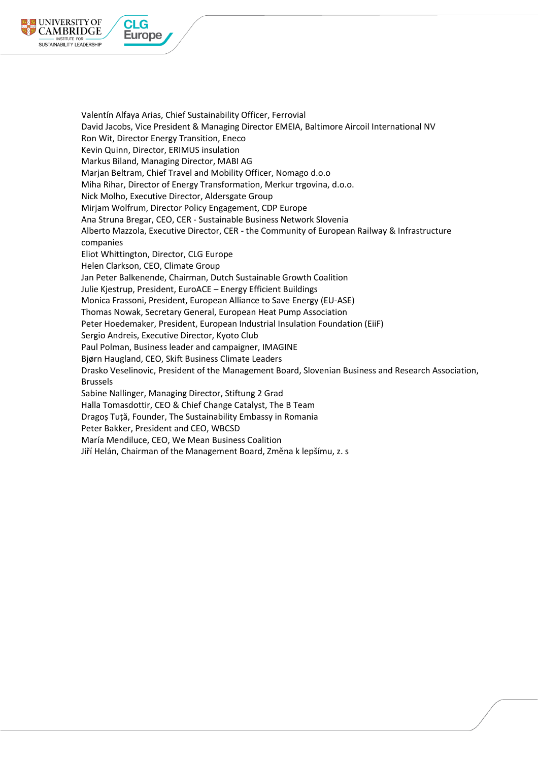

Valentín Alfaya Arias, Chief Sustainability Officer, Ferrovial David Jacobs, Vice President & Managing Director EMEIA, Baltimore Aircoil International NV Ron Wit, Director Energy Transition, Eneco Kevin Quinn, Director, ERIMUS insulation Markus Biland, Managing Director, MABI AG Marjan Beltram, Chief Travel and Mobility Officer, Nomago d.o.o Miha Rihar, Director of Energy Transformation, Merkur trgovina, d.o.o. Nick Molho, Executive Director, Aldersgate Group Mirjam Wolfrum, Director Policy Engagement, CDP Europe Ana Struna Bregar, CEO, CER - Sustainable Business Network Slovenia Alberto Mazzola, Executive Director, CER - the Community of European Railway & Infrastructure companies Eliot Whittington, Director, CLG Europe Helen Clarkson, CEO, Climate Group Jan Peter Balkenende, Chairman, Dutch Sustainable Growth Coalition Julie Kjestrup, President, EuroACE – Energy Efficient Buildings Monica Frassoni, President, European Alliance to Save Energy (EU-ASE) Thomas Nowak, Secretary General, European Heat Pump Association Peter Hoedemaker, President, European Industrial Insulation Foundation (EiiF) Sergio Andreis, Executive Director, Kyoto Club Paul Polman, Business leader and campaigner, IMAGINE Bjørn Haugland, CEO, Skift Business Climate Leaders Drasko Veselinovic, President of the Management Board, Slovenian Business and Research Association, Brussels Sabine Nallinger, Managing Director, Stiftung 2 Grad Halla Tomasdottir, CEO & Chief Change Catalyst, The B Team Dragoș Tuță, Founder, The Sustainability Embassy in Romania Peter Bakker, President and CEO, WBCSD María Mendiluce, CEO, We Mean Business Coalition Jiří Helán, Chairman of the Management Board, Změna k lepšímu, z. s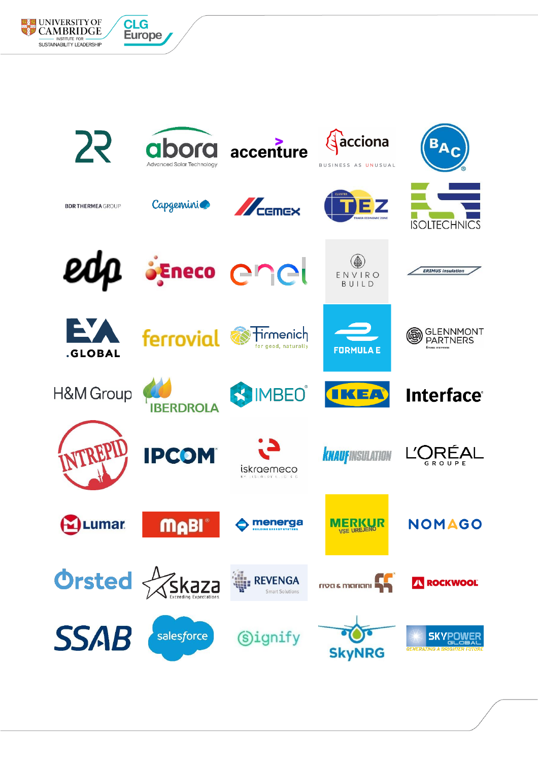

**EXECUNIVERSITY OF** 

**CAMBRIDGE** 

NSTITUTE FOR **WARE SUSTAINABILITY LEADERSHIP** 

**CLG** 

**Europe**